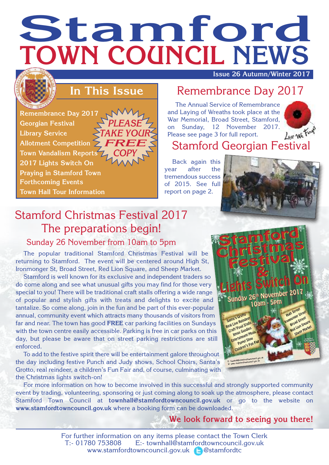# **Stamford TOWN COUNCIL NEWS**

**Issue 26 Autumn/Winter 2017**

#### **In This Issue**

**Remembrance Day 2017 Georgian Festival Library Service Allotment Competition Town Vandalism Reports** *COPY* **2017 Lights Switch On Praying in Stamford Town Forthcoming Events Town Hall Tour Information** *PLEASE TAKE YOUR FREE*

#### Remembrance Day 2017

The Annual Service of Remembrance and Laying of Wreaths took place at the War Memorial, Broad Street, Stamford, on Sunday, 12 November 2017. Please see page 3 for full report.



## lease see page 3 for full report.<br>Stamford Georgian Festival

Back again this year after the tremendous success of 2015. See full report on page 2.



## Stamford Christmas Festival 2017 The preparations begin!

Sunday 26 November from 10am to 5pm

The popular traditional Stamford Christmas Festival will be returning to Stamford. The event will be centered around High St, Ironmonger St, Broad Street, Red Lion Square, and Sheep Market.

Stamford is well known for its exclusive and independent traders so do come along and see what unusual gifts you may find for those very special to you! There will be traditional craft stalls offering a wide range of popular and stylish gifts with treats and delights to excite and tantalize. So come along, join in the fun and be part of this ever-popular annual, community event which attracts many thousands of visitors from far and near. The town has good **FREE** car parking facilities on Sundays with the town centre easily accessible. Parking is free in car parks on this day, but please be aware that on street parking restrictions are still enforced.

To add to the festive spirit there will be entertainment galore throughout the day including festive Punch and Judy shows, School Choirs, Santa's Grotto, real reindeer, a children's Fun Fair and, of course, culminating with the Christmas lights switch-on!



For more information on how to become involved in this successful and strongly supported community event by trading, volunteering, sponsoring or just coming along to soak up the atmosphere, please contact Stamford Town Council at **townhall@stamfordtowncouncil.gov.uk** or go to the website on **www.stamfordtowncouncil.gov.uk** where a booking form can be downloaded.

**We look forward to seeing you there!**

For further information on any items please contact the Town Clerk T:- 01780 753808 E:- townhall@stamfordtowncouncil.gov.uk www.stamfordtowncouncil.gov.uk **@stamfordtc**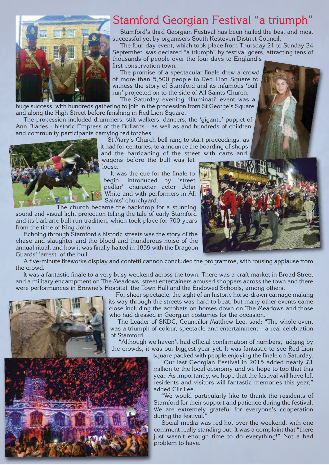

#### Stamford Georgian Festival "a triumph"

Stamford's third Georgian Festival has been hailed the best and most successful yet by organisers South Kesteven District Council.

The four-day event, which took place from Thursday 21 to Sunday 24 September, was declared "a triumph" by festival goers, attracting tens of thousands of people over the four days to England's first conservation town.

The promise of a spectacular finale drew a crowd of more than 5,500 people to Red Lion Square to witness the story of Stamford and its infamous 'bull run' projected on to the side of All Saints Church.

The Saturday evening 'illuminati' event was a huge success, with hundreds gathering to join in the procession from St George's Square and along the High Street before finishing in Red Lion Square.

The procession included drummers, stilt walkers, dancers, the 'gigante' puppet of Ann Blades - historic Empress of the Bullards - as well as and hundreds of children and community participants carrying red torches.



St Mary's Church bell rang to start proceedings, as it had for centuries, to announce the boarding of shops and the barricading of the street with carts and

wagons before the bull was let loose.

It was the cue for the finale to begin, introduced by 'street pedlar' character actor John White and with performers in All Saints' churchyard.

The church became the backdrop for a stunning sound and visual light projection telling the tale of early Stamford and its barbaric bull run tradition, which took place for 700 years from the time of King John.

Echoing through Stamford's historic streets was the story of the chase and slaughter and the blood and thunderous noise of the annual ritual, and how it was finally halted in 1839 with the Dragoon Guards' 'arrest' of the bull.



A five-minute fireworks display and confetti cannon concluded the programme, with rousing applause from the crowd.

It was a fantastic finale to a very busy weekend across the town. There was a craft market in Broad Street and a military encampment on The Meadows, street entertainers amused shoppers across the town and there were performances in Browne's Hospital, the Town Hall and the Endowed Schools, among others.



For sheer spectacle, the sight of an historic horse-drawn carriage making its way through the streets was hard to beat, but many other events came close including the acrobats on horses down on The Meadows and those who had dressed in Georgian costumes for the occasion.

The Leader of SKDC, Councillor Matthew Lee, said: "The whole event was a triumph of colour, spectacle and entertainment – a real celebration of Stamford.

"Although we haven't had official confirmation of numbers, judging by the crowds, it was our biggest year yet. It was fantastic to see Red Lion square packed with people enjoying the finale on Saturday.

"Our last Georgian Festival in 2015 added nearly £1 million to the local economy and we hope to top that this year. As importantly, we hope that the festival will have left residents and visitors will fantastic memories this year," added Cllr Lee.

"We would particularly like to thank the residents of Stamford for their support and patience during the festival. We are extremely grateful for everyone's cooperation during the festival."

Social media was red hot over the weekend, with one comment really standing out. It was a complaint that "there just wasn't enough time to do everything!" Not a bad problem to have.

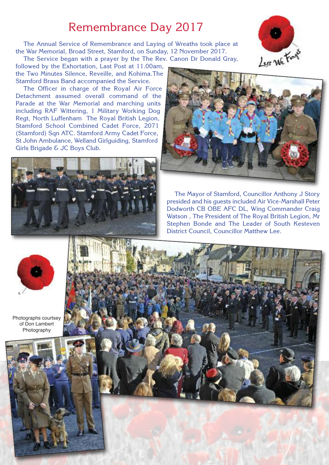#### Remembrance Day 2017

The Annual Service of Remembrance and Laying of Wreaths took place at the War Memorial, Broad Street, Stamford, on Sunday, 12 November 2017.

The Service began with a prayer by the The Rev. Canon Dr Donald Gray, followed by the Exhortation, Last Post at 11.00am, the Two Minutes Silence, Reveille, and Kohima.The Stamford Brass Band accompanied the Service.

The Officer in charge of the Royal Air Force Detachment assumed overall command of the Parade at the War Memorial and marching units including RAF Wittering, 1 Military Working Dog Regt, North Luffenham The Royal British Legion, Stamford School Combined Cadet Force, 2071 (Stamford) Sqn ATC. Stamford Army Cadet Force, St John Ambulance, Welland Girlguiding, Stamford Girls Brigade & JC Boys Club.





The Mayor of Stamford, Councillor Anthony J Story presided and his guests included Air Vice-Marshall Peter Dodworth CB OBE AFC DL, Wing Commander Craig Watson , The President of The Royal British Legion, Mr Stephen Bonde and The Leader of South Kesteven District Council, Councillor Matthew Lee.



Photographs courtsey of Don Lambert Photography





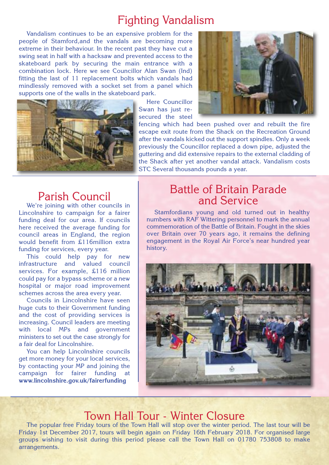#### Fighting Vandalism

Vandalism continues to be an expensive problem for the people of Stamford,and the vandals are becoming more extreme in their behaviour. In the recent past they have cut a swing seat in half with a hacksaw and prevented access to the skateboard park by securing the main entrance with a combination lock. Here we see Councillor Alan Swan (Ind) fitting the last of 11 replacement bolts which vandals had mindlessly removed with a socket set from a panel which supports one of the walls in the skateboard park.



Here Councillor Swan has just resecured the steel



fencing which had been pushed over and rebuilt the fire escape exit route from the Shack on the Recreation Ground after the vandals kicked out the support spindles. Only a week previously the Councillor replaced a down pipe, adjusted the guttering and did extensive repairs to the external cladding of the Shack after yet another vandal attack. Vandalism costs STC Several thousands pounds a year.

#### Parish Council

We're joining with other councils in Lincolnshire to campaign for a fairer funding deal for our area. If councils here received the average funding for council areas in England, the region would benefit from £116million extra funding for services, every year.

This could help pay for new infrastructure and valued council services. For example, £116 million could pay for a bypass scheme or a new hospital or major road improvement schemes across the area every year.

Councils in Lincolnshire have seen huge cuts to their Government funding and the cost of providing services is increasing. Council leaders are meeting with local MPs and government ministers to set out the case strongly for a fair deal for Lincolnshire.

You can help Lincolnshire councils get more money for your local services, by contacting your MP and joining the campaign for fairer funding at **www.lincolnshire.gov.uk/fairerfunding**

#### Battle of Britain Parade and Service

Stamfordians young and old turned out in healthy numbers with RAF Wittering personnel to mark the annual commemoration of the Battle of Britain. Fought in the skies over Britain over 70 years ago, it remains the defining engagement in the Royal Air Force's near hundred year history.



#### Town Hall Tour - Winter Closure

The popular free Friday tours of the Town Hall will stop over the winter period. The last tour will be Friday 1st December 2017, tours will begin again on Friday 16th February 2018. For organised large groups wishing to visit during this period please call the Town Hall on 01780 753808 to make arrangements.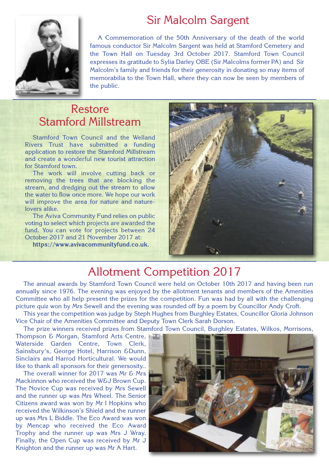## Sir Malcolm Sargent



A Commemoration of the 50th Anniversary of the death of the world famous conductor Sir Malcolm Sargent was held at Stamford Cemetery and the Town Hall on Tuesday 3rd October 2017. Stamford Town Council expresses its gratitude to Sylia Darley OBE (Sir Malcolms former PA) and Sir Malcolm's family and friends for their generosity in donating so may items of memorabilia to the Town Hall, where they can now be seen by members of the public.

#### Restore Stamford Millstream

Stamford Town Council and the Welland Rivers Trust have submitted a funding application to restore the Stamford Millstream and create a wonderful new tourist attraction for Stamford town.

The work will involve cutting back or removing the trees that are blocking the stream, and dredging out the stream to allow the water to flow once more. We hope our work will improve the area for nature and naturelovers alike.

The Aviva Community Fund relies on public voting to select which projects are awarded the fund. You can vote for projects between 24 October 2017 and 21 November 2017 at:

**https://www.avivacommunityfund.co.uk.**



## Allotment Competition 2017

The annual awards by Stamford Town Council were held on October 10th 2017 and having been run annually since 1976. The evening was enjoyed by the allotment tenants and members of the Amenities Committee who all help present the prizes for the competition. Fun was had by all with the challenging picture quiz won by Mrs Sewell and the evening was rounded off by a poem by Councillor Andy Croft.

This year the competition was judge by Steph Hughes from Burghley Estates, Councillor Gloria Johnson Vice Chair of the Amenities Committee and Deputy Town Clerk Sarah Dorson.

The prize winners received prizes from Stamford Town Council, Burghley Estates, Wilkos, Morrisons,

Thompson & Morgan, Stamford Arts Centre, Waterside Garden Centre, Town Clerk, Sainsbury's, George Hotel, Harrison &Dunn, Sinclairs and Harrod Horticultural. We would like to thank all sponsors for their genersosity..

The overall winner for 2017 was Mr & Mrs Mackinnon who received the W&J Brown Cup. The Novice Cup was received by Mrs Sewell and the runner up was Mrs Wheel. The Senior Citizens award was won by Mr I Hopkins who received the Wilkinson's Shield and the runner up was Mrs L Biddle. The Eco Award was won by Mencap who received the Eco Award Trophy and the runner up was Mrs J Wray. Finally, the Open Cup was received by Mr J Knighton and the runner up was Mr A Hart.

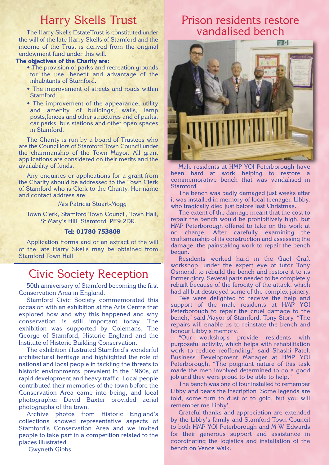#### Harry Skells Trust

The Harry Skells EstateTrust is constituted under the will of the late Harry Skells of Stamford and the income of the Trust is derived from the original endowment fund under this will.

#### **The objectives of the Charity are:**

- The provision of parks and recreation grounds for the use, benefit and advantage of the inhabitants of Stamford.
- The improvement of streets and roads within Stamford.
- The improvement of the appearance, utility and amenity of buildings, walls, lamp posts,fences and other structures and of parks, car parks, bus stations and other open spaces in Stamford.

The Charity is run by a board of Trustees who are the Councillors of Stamford Town Council under the chairmanship of the Town Mayor. All grant applications are considered on their merits and the availability of funds.

Any enquiries or applications for a grant from the Charity should be addressed to the Town Clerk of Stamford who is Clerk to the Charity. Her name and contact address are:

Mrs Patricia Stuart-Mogg

Town Clerk, Stamford Town Council, Town Hall, St Mary's Hill, Stamford, PE9 2DR.

#### **Tel: 01780 753808**

Application Forms and or an extract of the will of the late Harry Skells may be obtained from Stamford Town Hall

#### Civic Society Reception

50th anniversary of Stamford becoming the first Conservation Area in England.

Stamford Civic Society commemorated this occasion with an exhibition at the Arts Centre that explored how and why this happened and why conservation is still important today. The exhibition was supported by Colemans, The George of Stamford, Historic England and the Institute of Historic Building Conservation.

The exhibition illustrated Stamford's wonderful architectural heritage and highlighted the role of national and local people in tackling the threats to historic environments, prevalent in the 1960s, of rapid development and heavy traffic. Local people contributed their memories of the town before the Conservation Area came into being, and local photographer David Baxter provided aerial photographs of the town.

Archive photos from Historic England's collections showed representative aspects of Stamford's Conservation Area and we invited people to take part in a competition related to the places illustrated.

Gwyneth Gibbs

#### Prison residents restore vandalised bench



Male residents at HMP YOI Peterborough have been hard at work helping to restore a commemorative bench that was vandalised in Stamford.

The bench was badly damaged just weeks after it was installed in memory of local teenager, Libby, who tragically died just before last Christmas.

The extent of the damage meant that the cost to repair the bench would be prohibitively high, but HMP Peterborough offered to take on the work at no charge. After carefully examining the craftsmanship of its construction and assessing the damage, the painstaking work to repair the bench began.

Residents worked hard in the Gaol Craft workshop, under the expert eye of tutor Tony Osmond, to rebuild the bench and restore it to its former glory. Several parts needed to be completely rebuilt because of the ferocity of the attack, which had all but destroyed some of the complex joinery.

"We were delighted to receive the help and support of the male residents at HMP YOI Peterborough to repair the cruel damage to the bench," said Mayor of Stamford, Tony Story. "The repairs will enable us to reinstate the bench and honour Libby's memory."

"Our workshops provide residents with purposeful activity, which helps with rehabilitation work to reduce reoffending," said Shashi Patel, Business Development Manager at HMP YOI Peterborough. "The poignant nature of this task made the men involved determined to do a good job and they were proud to be able to help."

The bench was one of four installed to remember Libby and bears the inscription 'Some legends are told, some turn to dust or to gold, but you will remember me Libby'.

Grateful thanks and appreciation are extended by the Libby's family and Stamford Town Council to both HMP YOI Peterborough and M W Edwards for their generous support and assistance in coordinating the logistics and installation of the bench on Vence Walk.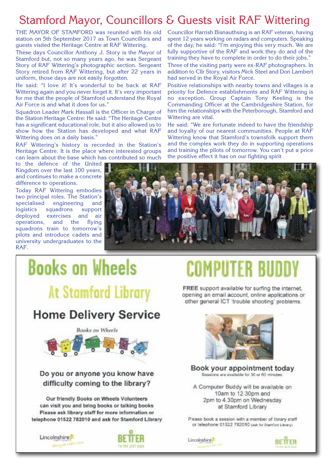### Stamford Mayor, Councillors & Guests visit RAF Wittering

THE MAYOR OF STAMFORD was reunited with his old station on 5th September 2017 as Town Councillors and guests visited the Heritage Centre at RAF Wittering.

These days Councillor Anthony J. Story is the Mayor of Stamford but, not so many years ago, he was Sergeant Story of RAF Wittering's photographic section. Sergeant Story retired from RAF Wittering, but after 22 years in uniform, those days are not easily forgotten.

He said: "I love it! It's wonderful to be back at RAF Wittering again and you never forget it. It's very important for me that the people of Stamford understand the Royal Air Force is and what it does for us."

Squadron Leader Mark Hassall is the Officer in Charge of the Station Heritage Centre: He said: "The Heritage Centre has a significant educational role, but it also allowed us to show how the Station has developed and what RAF Wittering does on a daily basis."

RAF Wittering's history is recorded in the Station's Heritage Centre. It is the place where interested groups can learn about the base which has contributed so much

to the defence of the United Kingdom over the last 100 years, and continues to make a concrete difference to operations.

Today RAF Wittering embodies two principal roles. The Station's specialised engineering and logistics squadrons support deployed exercises and air operations, and the flying squadrons train to tomorrow's pilots and introduce cadets and university undergraduates to the RAF.



had served in the Royal Air Force.

Wittering are vital.



Councillor Harrish Bisnauthsing is an RAF veteran, having spent 12 years working on radars and computers. Speaking of the day, he said: "I'm enjoying this very much. We are fully supportive of the RAF and work they do and of the training they have to complete in order to do their jobs." Three of the visiting party were ex-RAF photographers. In addition to Cllr Story, visitors Mick Steel and Don Lambert

Positive relationships with nearby towns and villages is a priority for Defence establishments and RAF Wittering is no exception. Group Captain Tony Keeling is the Commanding Officer at the Cambridgeshire Station, for him the relationships with the Peterborough, Stamford and

He said: "We are fortunate indeed to have the friendship and loyalty of our nearest communities. People at RAF Wittering know that Stamford's townsfolk support them and the complex work they do in supporting operations and training the pilots of tomorrow. You can't put a price

the positive effect it has on our fighting spirit

FREE support available for surfing the internet. opening an email account, online applications or other general ICT 'trouble shooting' problems.



Book your appointment today Sessions are available for 30 or 60 minutes.

A Computer Buddy will be available on 10am to 12.30pm and 2pm to 4.30pm on Wednesday at Stamford Library

Please book a session with a member of library staff or telephone 01522 782010 (ask for Stamford Library)